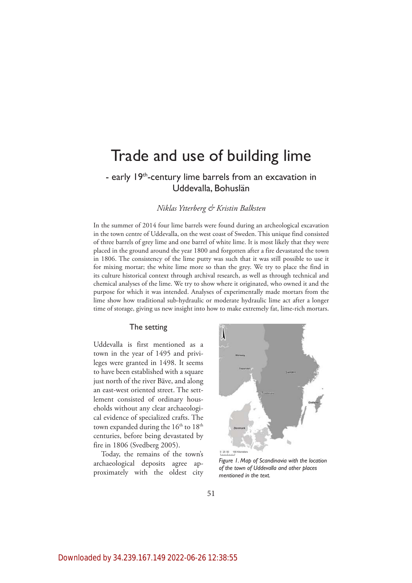# Trade and use of building lime

# - early 19<sup>th</sup>-century lime barrels from an excavation in Uddevalla, Bohuslän

# *Niklas Ytterberg & Kristin Balksten*

In the summer of 2014 four lime barrels were found during an archeological excavation in the town centre of Uddevalla, on the west coast of Sweden. This unique find consisted of three barrels of grey lime and one barrel of white lime. It is most likely that they were placed in the ground around the year 1800 and forgotten after a fire devastated the town in 1806. The consistency of the lime putty was such that it was still possible to use it for mixing mortar; the white lime more so than the grey. We try to place the find in its culture historical context through archival research, as well as through technical and chemical analyses of the lime. We try to show where it originated, who owned it and the purpose for which it was intended. Analyses of experimentally made mortars from the lime show how traditional sub-hydraulic or moderate hydraulic lime act after a longer time of storage, giving us new insight into how to make extremely fat, lime-rich mortars.

### The setting

Uddevalla is first mentioned as a town in the year of 1495 and privileges were granted in 1498. It seems to have been established with a square just north of the river Bäve, and along an east-west oriented street. The settlement consisted of ordinary households without any clear archaeological evidence of specialized crafts. The town expanded during the  $16<sup>th</sup>$  to  $18<sup>th</sup>$ centuries, before being devastated by fire in 1806 (Svedberg 2005).

Today, the remains of the town's archaeological deposits agree approximately with the oldest city



*Figure 1. Map of Scandinavia with the location of the town of Uddevalla and other places mentioned in the text.*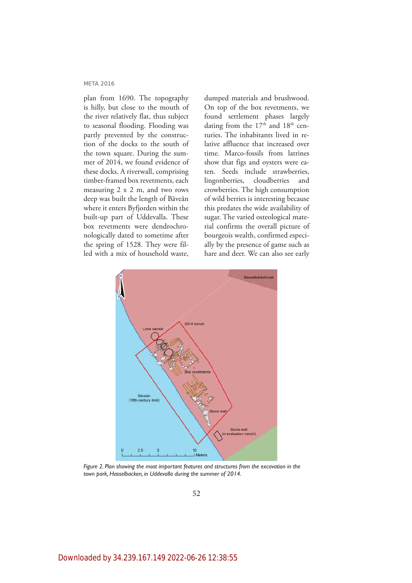plan from 1690. The topography is hilly, but close to the mouth of the river relatively flat, thus subject to seasonal flooding. Flooding was partly prevented by the construction of the docks to the south of the town square. During the summer of 2014, we found evidence of these docks. A riverwall, comprising timber-framed box revetments, each measuring 2 x 2 m, and two rows deep was built the length of Bäveån where it enters Byfjorden within the built-up part of Uddevalla. These box revetments were dendrochronologically dated to sometime after the spring of 1528. They were filled with a mix of household waste,

dumped materials and brushwood. On top of the box revetments, we found settlement phases largely dating from the  $17<sup>th</sup>$  and  $18<sup>th</sup>$  centuries. The inhabitants lived in relative affluence that increased over time. Marco-fossils from latrines show that figs and oysters were eaten. Seeds include strawberries, lingonberries, cloudberries and crowberries. The high consumption of wild berries is interesting because this predates the wide availability of sugar. The varied osteological material confirms the overall picture of bourgeois wealth, confirmed especially by the presence of game such as hare and deer. We can also see early



*Figure 2. Plan showing the most important features and structures from the excavation in the town park, Hasselbacken, in Uddevalla during the summer of 2014.*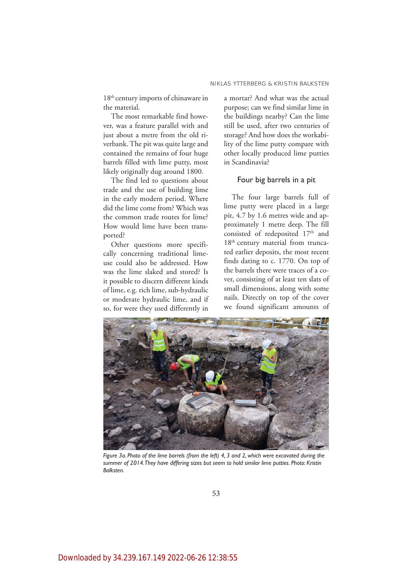18<sup>th</sup> century imports of chinaware in the material.

The most remarkable find however, was a feature parallel with and just about a metre from the old riverbank. The pit was quite large and contained the remains of four huge barrels filled with lime putty, most likely originally dug around 1800.

The find led to questions about trade and the use of building lime in the early modern period. Where did the lime come from? Which was the common trade routes for lime? How would lime have been transported?

Other questions more specifically concerning traditional limeuse could also be addressed. How was the lime slaked and stored? Is it possible to discern different kinds of lime, e.g. rich lime, sub-hydraulic or moderate hydraulic lime, and if so, for were they used differently in

a mortar? And what was the actual purpose; can we find similar lime in the buildings nearby? Can the lime still be used, after two centuries of storage? And how does the workability of the lime putty compare with other locally produced lime putties in Scandinavia?

# Four big barrels in a pit

The four large barrels full of lime putty were placed in a large pit, 4.7 by 1.6 metres wide and approximately 1 metre deep. The fill consisted of redeposited 17<sup>th</sup> and 18<sup>th</sup> century material from truncated earlier deposits, the most recent finds dating to c. 1770. On top of the barrels there were traces of a cover, consisting of at least ten slats of small dimensions, along with some nails. Directly on top of the cover we found significant amounts of



*Figure 3a. Photo of the lime barrels (from the left) 4, 3 and 2, which were excavated during the summer of 2014. They have differing sizes but seem to hold similar lime putties. Photo: Kristin Balksten.*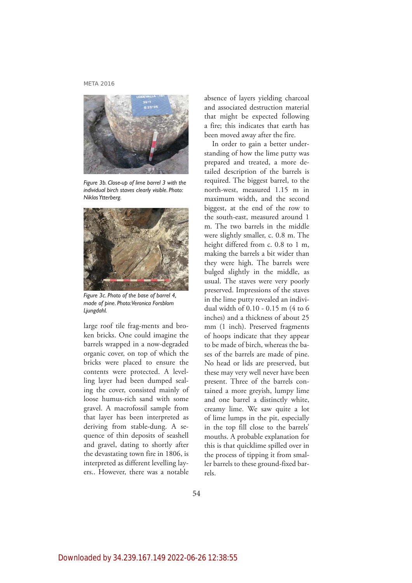

*Figure 3b. Close-up of lime barrel 3 with the individual birch staves clearly visible. Photo: Niklas Ytterberg.*



*Figure 3c. Photo of the base of barrel 4, made of pine. Photo: Veronica Forsblom Ljungdahl.*

large roof tile frag-ments and broken bricks. One could imagine the barrels wrapped in a now-degraded organic cover, on top of which the bricks were placed to ensure the contents were protected. A levelling layer had been dumped sealing the cover, consisted mainly of loose humus-rich sand with some gravel. A macrofossil sample from that layer has been interpreted as deriving from stable-dung. A sequence of thin deposits of seashell and gravel, dating to shortly after the devastating town fire in 1806, is interpreted as different levelling layers.. However, there was a notable

absence of layers yielding charcoal and associated destruction material that might be expected following a fire; this indicates that earth has been moved away after the fire.

In order to gain a better understanding of how the lime putty was prepared and treated, a more detailed description of the barrels is required. The biggest barrel, to the north-west, measured 1.15 m in maximum width, and the second biggest, at the end of the row to the south-east, measured around 1 m. The two barrels in the middle were slightly smaller, c. 0.8 m. The height differed from c. 0.8 to 1 m, making the barrels a bit wider than they were high. The barrels were bulged slightly in the middle, as usual. The staves were very poorly preserved. Impressions of the staves in the lime putty revealed an individual width of 0.10 - 0.15 m (4 to 6 inches) and a thickness of about 25 mm (1 inch). Preserved fragments of hoops indicate that they appear to be made of birch, whereas the bases of the barrels are made of pine. No head or lids are preserved, but these may very well never have been present. Three of the barrels contained a more greyish, lumpy lime and one barrel a distinctly white, creamy lime. We saw quite a lot of lime lumps in the pit, especially in the top fill close to the barrels' mouths. A probable explanation for this is that quicklime spilled over in the process of tipping it from smaller barrels to these ground-fixed barrels.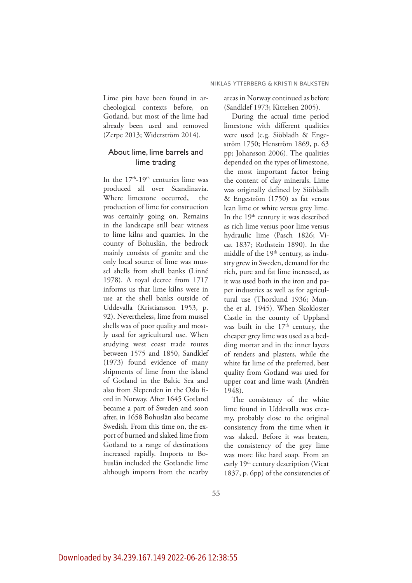Lime pits have been found in archeological contexts before, on Gotland, but most of the lime had already been used and removed (Zerpe 2013; Widerström 2014).

# About lime, lime barrels and lime trading

In the  $17<sup>th</sup>-19<sup>th</sup>$  centuries lime was produced all over Scandinavia. Where limestone occurred, the production of lime for construction was certainly going on. Remains in the landscape still bear witness to lime kilns and quarries. In the county of Bohuslän, the bedrock mainly consists of granite and the only local source of lime was mussel shells from shell banks (Linné 1978). A royal decree from 1717 informs us that lime kilns were in use at the shell banks outside of Uddevalla (Kristiansson 1953, p. 92). Nevertheless, lime from mussel shells was of poor quality and mostly used for agricultural use. When studying west coast trade routes between 1575 and 1850, Sandklef (1973) found evidence of many shipments of lime from the island of Gotland in the Baltic Sea and also from Slependen in the Oslo fiord in Norway. After 1645 Gotland became a part of Sweden and soon after, in 1658 Bohuslän also became Swedish. From this time on, the export of burned and slaked lime from Gotland to a range of destinations increased rapidly. Imports to Bohuslän included the Gotlandic lime although imports from the nearby

areas in Norway continued as before (Sandklef 1973; Kittelsen 2005).

During the actual time period limestone with different qualities were used (e.g. Siöbladh & Engeström 1750; Henström 1869, p. 63 pp; Johansson 2006). The qualities depended on the types of limestone, the most important factor being the content of clay minerals. Lime was originally defined by Siöbladh & Engeström (1750) as fat versus lean lime or white versus grey lime. In the 19<sup>th</sup> century it was described as rich lime versus poor lime versus hydraulic lime (Pasch 1826; Vicat 1837; Rothstein 1890). In the middle of the 19<sup>th</sup> century, as industry grew in Sweden, demand for the rich, pure and fat lime increased, as it was used both in the iron and paper industries as well as for agricultural use (Thorslund 1936; Munthe et al. 1945). When Skokloster Castle in the county of Uppland was built in the  $17<sup>th</sup>$  century, the cheaper grey lime was used as a bedding mortar and in the inner layers of renders and plasters, while the white fat lime of the preferred, best quality from Gotland was used for upper coat and lime wash (Andrén 1948).

The consistency of the white lime found in Uddevalla was creamy, probably close to the original consistency from the time when it was slaked. Before it was beaten, the consistency of the grey lime was more like hard soap. From an early 19<sup>th</sup> century description (Vicat 1837, p. 6pp) of the consistencies of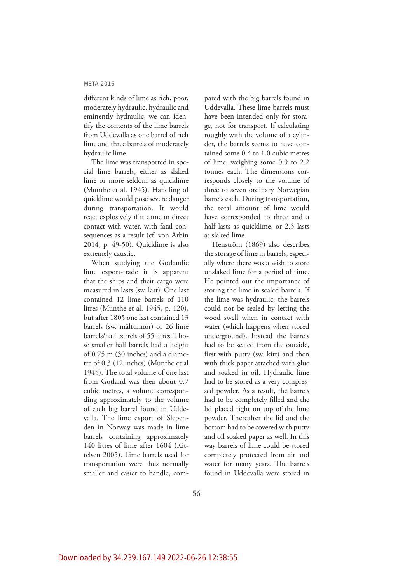different kinds of lime as rich, poor, moderately hydraulic, hydraulic and eminently hydraulic, we can identify the contents of the lime barrels from Uddevalla as one barrel of rich lime and three barrels of moderately hydraulic lime.

The lime was transported in special lime barrels, either as slaked lime or more seldom as quicklime (Munthe et al. 1945). Handling of quicklime would pose severe danger during transportation. It would react explosively if it came in direct contact with water, with fatal consequences as a result (cf. von Arbin 2014, p. 49-50). Quicklime is also extremely caustic.

When studying the Gotlandic lime export-trade it is apparent that the ships and their cargo were measured in lasts (sw. läst). One last contained 12 lime barrels of 110 litres (Munthe et al. 1945, p. 120), but after 1805 one last contained 13 barrels (sw. måltunnor) or 26 lime barrels/half barrels of 55 litres. Those smaller half barrels had a height of 0.75 m (30 inches) and a diametre of 0.3 (12 inches) (Munthe et al 1945). The total volume of one last from Gotland was then about 0.7 cubic metres, a volume corresponding approximately to the volume of each big barrel found in Uddevalla. The lime export of Slependen in Norway was made in lime barrels containing approximately 140 litres of lime after 1604 (Kittelsen 2005). Lime barrels used for transportation were thus normally smaller and easier to handle, compared with the big barrels found in Uddevalla. These lime barrels must have been intended only for storage, not for transport. If calculating roughly with the volume of a cylinder, the barrels seems to have contained some 0.4 to 1.0 cubic metres of lime, weighing some 0.9 to 2.2 tonnes each. The dimensions corresponds closely to the volume of three to seven ordinary Norwegian barrels each. During transportation, the total amount of lime would have corresponded to three and a half lasts as quicklime, or 2.3 lasts as slaked lime.

Henström (1869) also describes the storage of lime in barrels, especially where there was a wish to store unslaked lime for a period of time. He pointed out the importance of storing the lime in sealed barrels. If the lime was hydraulic, the barrels could not be sealed by letting the wood swell when in contact with water (which happens when stored underground). Instead the barrels had to be sealed from the outside, first with putty (sw. kitt) and then with thick paper attached with glue and soaked in oil. Hydraulic lime had to be stored as a very compressed powder. As a result, the barrels had to be completely filled and the lid placed tight on top of the lime powder. Thereafter the lid and the bottom had to be covered with putty and oil soaked paper as well. In this way barrels of lime could be stored completely protected from air and water for many years. The barrels found in Uddevalla were stored in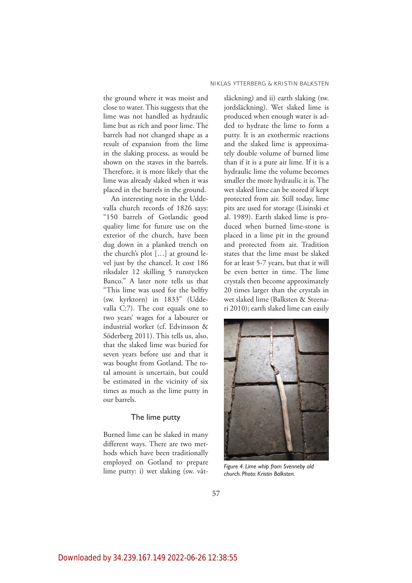the ground where it was moist and close to water. This suggests that the lime was not handled as hydraulic lime but as rich and poor lime. The barrels had not changed shape as a result of expansion from the lime in the slaking process, as would be shown on the staves in the barrels. Therefore, it is more likely that the lime was already slaked when it was placed in the barrels in the ground.

An interesting note in the Uddevalla church records of 1826 says: "150 barrels of Gotlandic good quality lime for future use on the exterior of the church, have been dug down in a planked trench on the church's plot […] at ground level just by the chancel. It cost 186 riksdaler 12 skilling 5 runstycken Banco." A later note tells us that "This lime was used for the belfry (sw. kyrktorn) in 1833" (Uddevalla C:7). The cost equals one to two years' wages for a labourer or industrial worker (cf. Edvinsson & Söderberg 2011). This tells us, also, that the slaked lime was buried for seven years before use and that it was bought from Gotland. The total amount is uncertain, but could be estimated in the vicinity of six times as much as the lime putty in our barrels.

#### The lime putty

Burned lime can be slaked in many different ways. There are two methods which have been traditionally employed on Gotland to prepare lime putty: i) wet slaking (sw. våtsläckning) and ii) earth slaking (sw. jordsläckning). Wet slaked lime is produced when enough water is added to hydrate the lime to form a putty. It is an exothermic reactions and the slaked lime is approximately double volume of burned lime than if it is a pure air lime. If it is a hydraulic lime the volume becomes smaller the more hydraulic it is. The wet slaked lime can be stored if kept protected from air. Still today, lime pits are used for storage (Lisinski et al. 1989). Earth slaked lime is produced when burned lime-stone is placed in a lime pit in the ground and protected from air. Tradition states that the lime must be slaked for at least 5-7 years, but that it will be even better in time. The lime crystals then become approximately 20 times larger than the crystals in wet slaked lime (Balksten & Steenari 2010); earth slaked lime can easily



*Figure 4. Lime whip from Svenneby old church. Photo: Kristin Balksten.*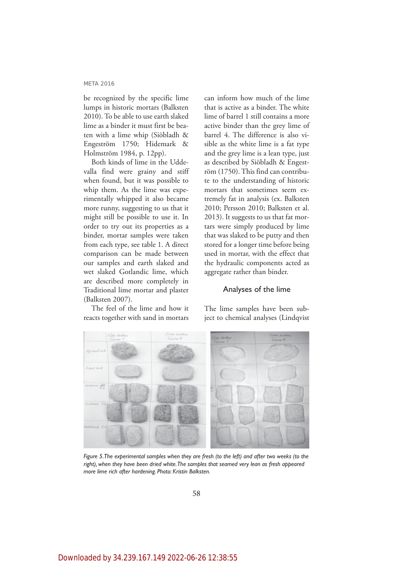be recognized by the specific lime lumps in historic mortars (Balksten 2010). To be able to use earth slaked lime as a binder it must first be beaten with a lime whip (Siöbladh & Engeström 1750; Hidemark & Holmström 1984, p. 12pp).

Both kinds of lime in the Uddevalla find were grainy and stiff when found, but it was possible to whip them. As the lime was experimentally whipped it also became more runny, suggesting to us that it might still be possible to use it. In order to try out its properties as a binder, mortar samples were taken from each type, see table 1. A direct comparison can be made between our samples and earth slaked and wet slaked Gotlandic lime, which are described more completely in Traditional lime mortar and plaster (Balksten 2007).

The feel of the lime and how it reacts together with sand in mortars

can inform how much of the lime that is active as a binder. The white lime of barrel 1 still contains a more active binder than the grey lime of barrel 4. The difference is also visible as the white lime is a fat type and the grey lime is a lean type, just as described by Siöbladh & Engeström (1750). This find can contribute to the understanding of historic mortars that sometimes seem extremely fat in analysis (ex. Balksten 2010; Persson 2010; Balksten et al. 2013). It suggests to us that fat mortars were simply produced by lime that was slaked to be putty and then stored for a longer time before being used in mortar, with the effect that the hydraulic components acted as aggregate rather than binder.

## Analyses of the lime



The lime samples have been subject to chemical analyses (Lindqvist

*Figure 5. The experimental samples when they are fresh (to the left) and after two weeks (to the right), when they have been dried white. The samples that seamed very lean as fresh appeared more lime rich after hardening. Photo: Kristin Balksten.*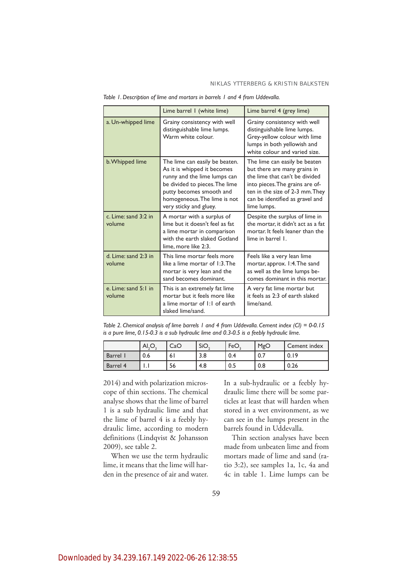|                                | Lime barrel 1 (white lime)                                                                                                                                                                                            | Lime barrel 4 (grey lime)                                                                                                                                                                                               |  |
|--------------------------------|-----------------------------------------------------------------------------------------------------------------------------------------------------------------------------------------------------------------------|-------------------------------------------------------------------------------------------------------------------------------------------------------------------------------------------------------------------------|--|
| a. Un-whipped lime             | Grainy consistency with well<br>distinguishable lime lumps.<br>Warm white colour.                                                                                                                                     | Grainy consistency with well<br>distinguishable lime lumps.<br>Grey-yellow colour with lime<br>lumps in both yellowish and<br>white colour and varied size.                                                             |  |
| b. Whipped lime                | The lime can easily be beaten.<br>As it is whipped it becomes<br>runny and the lime lumps can<br>be divided to pieces. The lime<br>putty becomes smooth and<br>homogeneous. The lime is not<br>very sticky and gluey. | The lime can easily be beaten<br>but there are many grains in<br>the lime that can't be divided<br>into pieces. The grains are of-<br>ten in the size of 2-3 mm. They<br>can be identified as gravel and<br>lime lumps. |  |
| c. Lime: sand 3:2 in<br>volume | A mortar with a surplus of<br>lime but it doesn't feel as fat<br>a lime mortar in comparison<br>with the earth slaked Gotland<br>lime, more like 2:3.                                                                 | Despite the surplus of lime in<br>the mortar, it didn't act as a fat<br>mortar, It feels leaner than the<br>lime in barrel 1.                                                                                           |  |
| d. Lime: sand 2:3 in<br>volume | This lime mortar feels more<br>like a lime mortar of 1:3. The<br>mortar is very lean and the<br>sand becomes dominant.                                                                                                | Feels like a very lean lime<br>mortar, approx. 1:4. The sand<br>as well as the lime lumps be-<br>comes dominant in this mortar.                                                                                         |  |
| e. Lime: sand 5:1 in<br>volume | This is an extremely fat lime<br>mortar but it feels more like<br>a lime mortar of 1:1 of earth<br>slaked lime/sand.                                                                                                  | A very fat lime mortar but<br>it feels as 2:3 of earth slaked<br>lime/sand.                                                                                                                                             |  |

*Table 1. Description of lime and mortars in barrels 1 and 4 from Uddevalla.*

*Table 2. Chemical analysis of lime barrels 1 and 4 from Uddevalla. Cement index (CI) = 0-0.15 is a pure lime, 0.15-0.3 is a sub hydraulic lime and 0.3-0.5 is a feebly hydraulic lime.*

|               | Al, O. | CaO | ' SiO. | FeO | MgO | Cement index |
|---------------|--------|-----|--------|-----|-----|--------------|
| <b>Barrel</b> | 0.6    | ۰6. | 3.8    | 0.4 | 0.7 | V.I.         |
| Barrel 4      | .      | 56  | 4.8    | 0.5 | 0.8 | 0.26         |

2014) and with polarization microscope of thin sections. The chemical analyse shows that the lime of barrel 1 is a sub hydraulic lime and that the lime of barrel 4 is a feebly hydraulic lime, according to modern definitions (Lindqvist & Johansson 2009), see table 2.

When we use the term hydraulic lime, it means that the lime will harden in the presence of air and water. In a sub-hydraulic or a feebly hydraulic lime there will be some particles at least that will harden when stored in a wet environment, as we can see in the lumps present in the barrels found in Uddevalla.

Thin section analyses have been made from unbeaten lime and from mortars made of lime and sand (ratio 3:2), see samples 1a, 1c, 4a and 4c in table 1. Lime lumps can be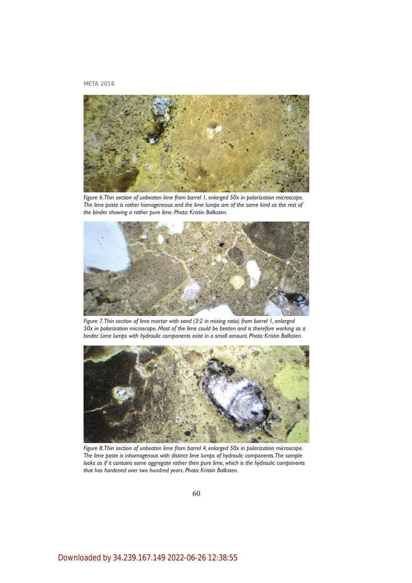

*Figure 6. Thin section of unbeaten lime from barrel 1, enlarged 50x in polarization microscope. The lime paste is rather homogeneous and the lime lumps are of the same kind as the rest of the binder showing a rather pure lime. Photo: Kristin Balksten.*



*Figure 7. Thin section of lime mortar with sand (3:2 in mixing ratio) from barrel 1, enlarged 50x in polarization microscope. Most of the lime could be beaten and is therefore working as a binder. Lime lumps with hydraulic components exist in a small amount. Photo: Kristin Balksten.*



*Figure 8. Thin section of unbeaten lime from barrel 4, enlarged 50x in polarization microscope. The lime paste is inhomogenous with distinct lime lumps of hydraulic components. The sample*  looks as if it contains some aggregate rather then pure lime, which is the hydraulic components *that has hardened over two hundred years. Photo: Kristin Balksten.*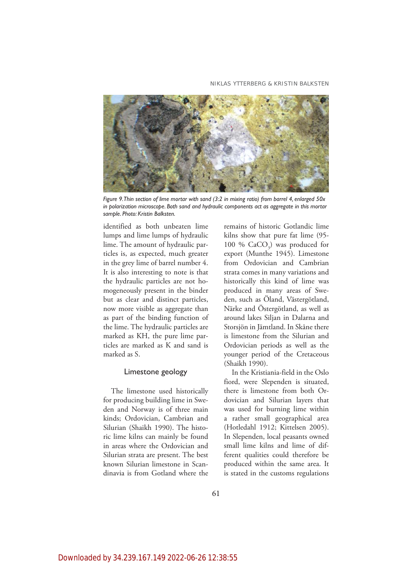#### NIKLAS YTTERBERG & KRISTIN BALKSTEN



*Figure 9. Thin section of lime mortar with sand (3:2 in mixing ratio) from barrel 4, enlarged 50x in polarization microscope. Both sand and hydraulic components act as aggregate in this mortar sample. Photo: Kristin Balksten.*

identified as both unbeaten lime lumps and lime lumps of hydraulic lime. The amount of hydraulic particles is, as expected, much greater in the grey lime of barrel number 4. It is also interesting to note is that the hydraulic particles are not homogeneously present in the binder but as clear and distinct particles, now more visible as aggregate than as part of the binding function of the lime. The hydraulic particles are marked as KH, the pure lime particles are marked as K and sand is marked as S.

# Limestone geology

The limestone used historically for producing building lime in Sweden and Norway is of three main kinds; Ordovician, Cambrian and Silurian (Shaikh 1990). The historic lime kilns can mainly be found in areas where the Ordovician and Silurian strata are present. The best known Silurian limestone in Scandinavia is from Gotland where the remains of historic Gotlandic lime kilns show that pure fat lime (95- 100 %  $CaCO<sub>3</sub>$ ) was produced for export (Munthe 1945). Limestone from Ordovician and Cambrian strata comes in many variations and historically this kind of lime was produced in many areas of Sweden, such as Öland, Västergötland, Närke and Östergötland, as well as around lakes Siljan in Dalarna and Storsjön in Jämtland. In Skåne there is limestone from the Silurian and Ordovician periods as well as the younger period of the Cretaceous (Shaikh 1990).

In the Kristiania-field in the Oslo fiord, were Slependen is situated, there is limestone from both Ordovician and Silurian layers that was used for burning lime within a rather small geographical area (Hotledahl 1912; Kittelsen 2005). In Slependen, local peasants owned small lime kilns and lime of different qualities could therefore be produced within the same area. It is stated in the customs regulations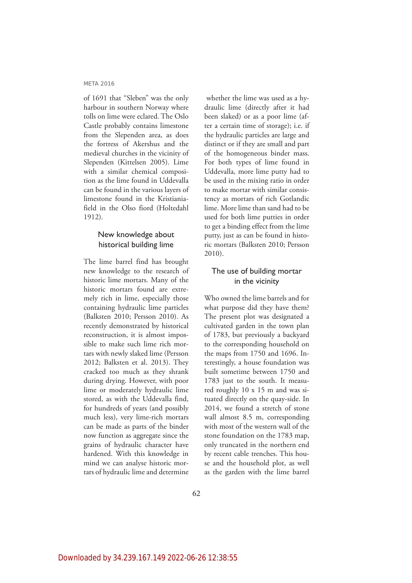of 1691 that "Sleben" was the only harbour in southern Norway where tolls on lime were eclared. The Oslo Castle probably contains limestone from the Slependen area, as does the fortress of Akershus and the medieval churches in the vicinity of Slependen (Kittelsen 2005). Lime with a similar chemical composition as the lime found in Uddevalla can be found in the various layers of limestone found in the Kristianiafield in the Olso fiord (Holtedahl 1912).

# New knowledge about historical building lime

The lime barrel find has brought new knowledge to the research of historic lime mortars. Many of the historic mortars found are extremely rich in lime, especially those containing hydraulic lime particles (Balksten 2010; Persson 2010). As recently demonstrated by historical reconstruction, it is almost impossible to make such lime rich mortars with newly slaked lime (Persson 2012; Balksten et al. 2013). They cracked too much as they shrank during drying. However, with poor lime or moderately hydraulic lime stored, as with the Uddevalla find, for hundreds of years (and possibly much less), very lime-rich mortars can be made as parts of the binder now function as aggregate since the grains of hydraulic character have hardened. With this knowledge in mind we can analyse historic mortars of hydraulic lime and determine

 whether the lime was used as a hydraulic lime (directly after it had been slaked) or as a poor lime (after a certain time of storage); i.e. if the hydraulic particles are large and distinct or if they are small and part of the homogeneous binder mass. For both types of lime found in Uddevalla, more lime putty had to be used in the mixing ratio in order to make mortar with similar consistency as mortars of rich Gotlandic lime. More lime than sand had to be used for both lime putties in order to get a binding effect from the lime putty, just as can be found in historic mortars (Balksten 2010; Persson 2010).

# The use of building mortar in the vicinity

Who owned the lime barrels and for what purpose did they have them? The present plot was designated a cultivated garden in the town plan of 1783, but previously a backyard to the corresponding household on the maps from 1750 and 1696. Interestingly, a house foundation was built sometime between 1750 and 1783 just to the south. It measured roughly 10 x 15 m and was situated directly on the quay-side. In 2014, we found a stretch of stone wall almost 8.5 m, corresponding with most of the western wall of the stone foundation on the 1783 map, only truncated in the northern end by recent cable trenches. This house and the household plot, as well as the garden with the lime barrel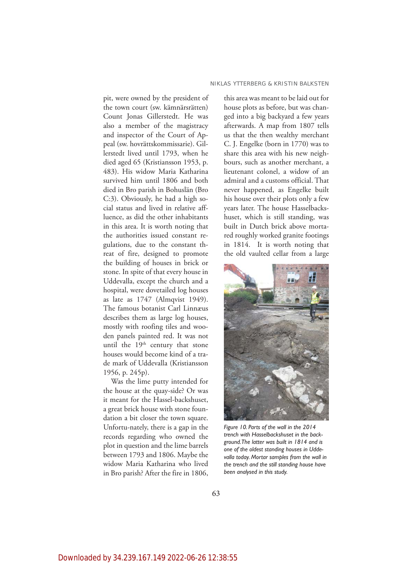pit, were owned by the president of the town court (sw. kämnärsrätten) Count Jonas Gillerstedt. He was also a member of the magistracy and inspector of the Court of Appeal (sw. hovrättskommissarie). Gillerstedt lived until 1793, when he died aged 65 (Kristiansson 1953, p. 483). His widow Maria Katharina survived him until 1806 and both died in Bro parish in Bohuslän (Bro C:3). Obviously, he had a high social status and lived in relative affluence, as did the other inhabitants in this area. It is worth noting that the authorities issued constant regulations, due to the constant threat of fire, designed to promote the building of houses in brick or stone. In spite of that every house in Uddevalla, except the church and a hospital, were dovetailed log houses as late as 1747 (Almqvist 1949). The famous botanist Carl Linnæus describes them as large log houses, mostly with roofing tiles and wooden panels painted red. It was not until the  $19<sup>th</sup>$  century that stone houses would become kind of a trade mark of Uddevalla (Kristiansson 1956, p. 245p).

Was the lime putty intended for the house at the quay-side? Or was it meant for the Hassel-backshuset, a great brick house with stone foundation a bit closer the town square. Unfortu-nately, there is a gap in the records regarding who owned the plot in question and the lime barrels between 1793 and 1806. Maybe the widow Maria Katharina who lived in Bro parish? After the fire in 1806, this area was meant to be laid out for house plots as before, but was changed into a big backyard a few years afterwards. A map from 1807 tells us that the then wealthy merchant C. J. Engelke (born in 1770) was to share this area with his new neighbours, such as another merchant, a lieutenant colonel, a widow of an admiral and a customs official. That never happened, as Engelke built his house over their plots only a few years later. The house Hasselbackshuset, which is still standing, was built in Dutch brick above mortared roughly worked granite footings in 1814. It is worth noting that the old vaulted cellar from a large



*Figure 10. Parts of the wall in the 2014 trench with Hasselbackshuset in the background. The latter was built in 1814 and is one of the oldest standing houses in Uddevalla today. Mortar samples from the wall in the trench and the still standing house have been analysed in this study.*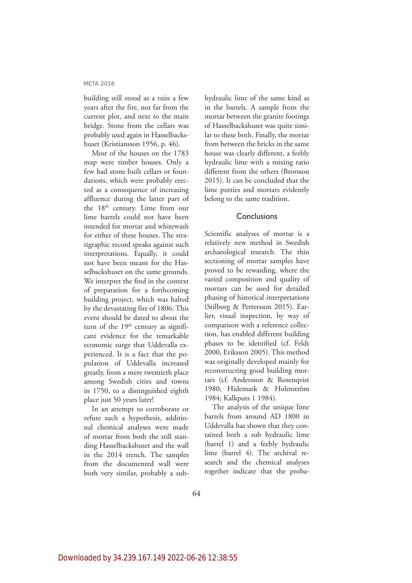building still stood as a ruin a few years after the fire, not far from the current plot, and next to the main bridge. Stone from the cellars was probably used again in Hasselbackshuset (Kristiansson 1956, p. 46).

Most of the houses on the 1783 map were timber houses. Only a few had stone built cellars or foundations, which were probably erected as a consequence of increasing affluence during the latter part of the 18<sup>th</sup> century. Lime from our lime barrels could not have been intended for mortar and whitewash for either of these houses. The stratigraphic record speaks against such interpretations. Equally, it could not have been meant for the Hasselbackshuset on the same grounds. We interpret the find in the context of preparation for a forthcoming building project, which was halted by the devastating fire of 1806. This event should be dated to about the turn of the  $19<sup>th</sup>$  century as significant evidence for the remarkable economic surge that Uddevalla experienced. It is a fact that the population of Uddevalla increased greatly, from a mere twentieth place among Swedish cities and towns in 1750, to a distinguished eighth place just 50 years later!

In an attempt to corroborate or refute such a hypothesis, additional chemical analyses were made of mortar from both the still standing Hasselbackshuset and the wall in the 2014 trench. The samples from the documented wall were both very similar, probably a subhydraulic lime of the same kind as in the barrels. A sample from the mortar between the granite footings of Hasselbackshuset was quite similar to these both. Finally, the mortar from between the bricks in the same house was clearly different, a feebly hydraulic lime with a mixing ratio different from the others (Brorsson 2015). It can be concluded that the lime putties and mortars evidently belong to the same tradition.

## **Conclusions**

Scientific analyses of mortar is a relatively new method in Swedish archaeological research. The thin sectioning of mortar samples have proved to be rewarding, where the varied composition and quality of mortars can be used for detailed phasing of historical interpretations (Stilborg & Pettersson 2015). Earlier, visual inspection, by way of comparison with a reference collection, has enabled different building phases to be identified (cf. Feldt 2000, Eriksson 2005). This method was originally developed mainly for reconstructing good building mortars (cf. Andersson & Rosenqvist 1980; Hidemark & Holmström 1984; Kalkputs 1 1984).

The analysis of the unique lime barrels from around AD 1800 in Uddevalla has shown that they contained both a sub hydraulic lime (barrel 1) and a feebly hydraulic lime (barrel 4). The archival research and the chemical analyses together indicate that the proba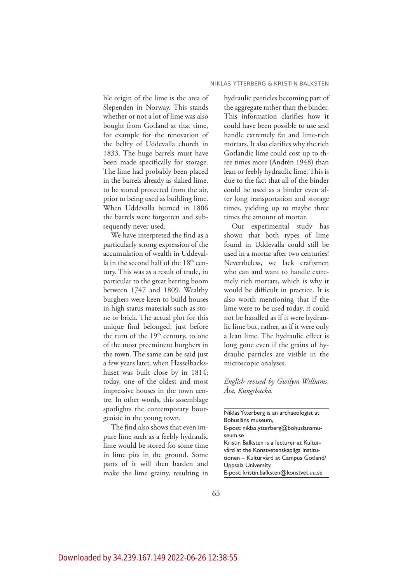ble origin of the lime is the area of Slependen in Norway. This stands whether or not a lot of lime was also bought from Gotland at that time, for example for the renovation of the belfry of Uddevalla church in 1833. The huge barrels must have been made specifically for storage. The lime had probably been placed in the barrels already as slaked lime, to be stored protected from the air, prior to being used as building lime. When Uddevalla burned in 1806 the barrels were forgotten and subsequently never used.

We have interpreted the find as a particularly strong expression of the accumulation of wealth in Uddevalla in the second half of the 18<sup>th</sup> century. This was as a result of trade, in particular to the great herring boom between 1747 and 1809. Wealthy burghers were keen to build houses in high status materials such as stone or brick. The actual plot for this unique find belonged, just before the turn of the 19<sup>th</sup> century, to one of the most preeminent burghers in the town. The same can be said just a few years later, when Hasselbackshuset was built close by in 1814; today, one of the oldest and most impressive houses in the town centre. In other words, this assemblage spotlights the contemporary bourgeoisie in the young town.

The find also shows that even impure lime such as a feebly hydraulic lime would be stored for some time in lime pits in the ground. Some parts of it will then harden and make the lime grainy, resulting in hydraulic particles becoming part of the aggregate rather than the binder. This information clarifies how it could have been possible to use and handle extremely fat and lime-rich mortars. It also clarifies why the rich Gotlandic lime could cost up to three times more (Andrén 1948) than lean or feebly hydraulic lime. This is due to the fact that all of the binder could be used as a binder even after long transportation and storage times, yielding up to maybe three times the amount of mortar.

Our experimental study has shown that both types of lime found in Uddevalla could still be used in a mortar after two centuries! Nevertheless, we lack craftsmen who can and want to handle extremely rich mortars, which is why it would be difficult in practice. It is also worth mentioning that if the lime were to be used today, it could not be handled as if it were hydraulic lime but, rather, as if it were only a lean lime. The hydraulic effect is long gone even if the grains of hydraulic particles are visible in the microscopic analyses.

*English revised by Gwilym Williams, Åsa, Kungsbacka.*

| Niklas Ytterberg is an archaeologist at   |
|-------------------------------------------|
| Bohusläns museum,                         |
| E-post: niklas.ytterberg@bohuslansmu-     |
| seum.se                                   |
| Kristin Balksten is a lecturer at Kultur- |
| vård at the Konstvetenskapliga Institu-   |
| tionen - Kulturvård at Campus Gotland/    |
| Uppsala University.                       |
| E-post: kristin.balksten@konstvet.uu.se   |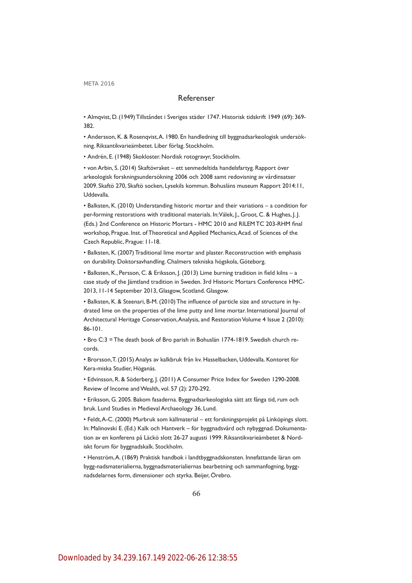# Referenser

• Almqvist, D. (1949) Tillståndet i Sveriges städer 1747. Historisk tidskrift 1949 (69): 369- 382.

• Andersson, K. & Rosenqvist, A. 1980. En handledning till byggnadsarkeologisk undersökning. Riksantikvarieämbetet. Liber förlag. Stockholm.

• Andrén, E. (1948) Skokloster. Nordisk rotogravyr, Stockholm.

• von Arbin, S. (2014) Skaftövraket – ett senmedeltida handelsfartyg. Rapport över arkeologisk forskningsundersökning 2006 och 2008 samt redovisning av vårdinsatser 2009. Skaftö 270, Skaftö socken, Lysekils kommun. Bohusläns museum Rapport 2014:11, Uddevalla.

• Balksten, K. (2010) Understanding historic mortar and their variations – a condition for per-forming restorations with traditional materials. In: Válek, J., Groot, C. & Hughes, J. J. (Eds.) 2nd Conference on Historic Mortars - HMC 2010 and RILEM TC 203-RHM final workshop, Prague. Inst. of Theoretical and Applied Mechanics, Acad. of Sciences of the Czech Republic, Prague: 11-18.

• Balksten, K. (2007) Traditional lime mortar and plaster. Reconstruction with emphasis on durability. Doktorsavhandling. Chalmers tekniska högskola, Göteborg.

• Balksten, K., Persson, C. & Eriksson, J. (2013) Lime burning tradition in field kilns - a case study of the Jämtland tradition in Sweden. 3rd Historic Mortars Conference HMC-2013, 11-14 September 2013, Glasgow, Scotland. Glasgow.

• Balksten, K. & Steenari, B-M. (2010) The influence of particle size and structure in hydrated lime on the properties of the lime putty and lime mortar. International Journal of Architectural Heritage Conservation, Analysis, and Restoration Volume 4 Issue 2 (2010): 86-101.

• Bro C:3 = The death book of Bro parish in Bohuslän 1774-1819. Swedish church records.

• Brorsson, T. (2015) Analys av kalkbruk från kv. Hasselbacken, Uddevalla. Kontoret för Kera-miska Studier, Höganäs.

• Edvinsson, R. & Söderberg, J. (2011) A Consumer Price Index for Sweden 1290-2008. Review of Income and Wealth, vol. 57 (2): 270-292.

• Eriksson, G. 2005. Bakom fasaderna. Byggnadsarkeologiska sätt att fånga tid, rum och bruk. Lund Studies in Medieval Archaeology 36, Lund.

• Feldt, A-C. (2000) Murbruk som källmaterial – ett forskningsprojekt på Linköpings slott. In: Malinovski E. (Ed.) Kalk och Hantverk – för byggnadsvård och nybyggnad. Dokumentation av en konferens på Läckö slott 26-27 augusti 1999. Riksantikvarieämbetet & Nordiskt forum för byggnadskalk. Stockholm.

• Henström, A. (1869) Praktisk handbok i landtbyggnadskonsten. Innefattande läran om bygg-nadsmaterialierna, byggnadsmaterialiernas bearbetning och sammanfogning, byggnadsdelarnes form, dimensioner och styrka. Beijer, Örebro.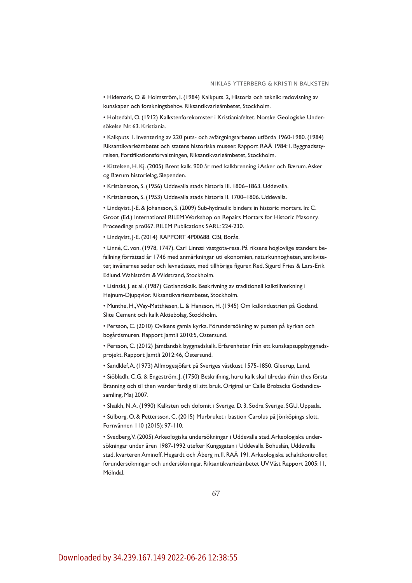• Hidemark, O. & Holmström, I. (1984) Kalkputs. 2, Historia och teknik: redovisning av kunskaper och forskningsbehov. Riksantikvarieämbetet, Stockholm.

• Holtedahl, O. (1912) Kalkstenforekomster i Kristianiafeltet. Norske Geologiske Undersökelse Nr. 63. Kristiania.

• Kalkputs 1. Inventering av 220 puts- och avfärgningsarbeten utförda 1960-1980. (1984) Riksantikvarieämbetet och statens historiska museer. Rapport RAÄ 1984:1. Byggnadsstyrelsen, Fortifikationsförvaltningen, Riksantikvarieämbetet, Stockholm.

• Kittelsen, H. Kj. (2005) Brent kalk. 900 år med kalkbrenning i Asker och Bærum. Asker og Bærum historielag, Slependen.

• Kristiansson, S. (1956) Uddevalla stads historia III. 1806–1863. Uddevalla.

• Kristiansson, S. (1953) Uddevalla stads historia II. 1700–1806. Uddevalla.

• Lindqvist, J-E. & Johansson, S. (2009) Sub-hydraulic binders in historic mortars. In: C. Groot (Ed.) International RILEM Workshop on Repairs Mortars for Historic Masonry. Proceedings pro067. RILEM Publications SARL: 224-230.

• Lindqvist, J-E. (2014) RAPPORT 4P00688. CBI, Borås.

• Linné, C. von. (1978, 1747). Carl Linnæi västgöta-resa. På riksens höglovlige ständers befallning förrättad år 1746 med anmärkningar uti ekonomien, naturkunnogheten, antikviteter, invånarnes seder och levnadssätt, med tillhörige figurer. Red. Sigurd Fries & Lars-Erik Edlund. Wahlström & Widstrand, Stockholm.

• Lisinski, J. et al. (1987) Gotlandskalk. Beskrivning av traditionell kalktillverkning i Hejnum-Djupqvior. Riksantikvarieämbetet, Stockholm.

• Munthe, H., Way-Matthiesen, L. & Hansson, H. (1945) Om kalkindustrien på Gotland. Slite Cement och kalk Aktiebolag, Stockholm.

• Persson, C. (2010) Ovikens gamla kyrka. Förundersökning av putsen på kyrkan och bogårdsmuren. Rapport Jamtli 2010:5, Östersund.

• Persson, C. (2012) Jämtländsk byggnadskalk. Erfarenheter från ett kunskapsuppbyggnadsprojekt. Rapport Jamtli 2012:46, Östersund.

• Sandklef, A. (1973) Allmogesjöfart på Sveriges västkust 1575-1850. Gleerup, Lund.

• Siöbladh, C.G. & Engeström, J. (1750) Beskrifning, huru kalk skal tilredas ifrån thes första Bränning och til then warder färdig til sitt bruk. Original ur Calle Brobäcks Gotlandicasamling, Maj 2007.

• Shaikh, N. A. (1990) Kalksten och dolomit i Sverige. D. 3, Södra Sverige. SGU, Uppsala.

• Stilborg, O. & Pettersson, C. (2015) Murbruket i bastion Carolus på Jönköpings slott. Fornvännen 110 (2015): 97-110.

• Svedberg, V. (2005) Arkeologiska undersökningar i Uddevalla stad. Arkeologiska undersökningar under åren 1987-1992 utefter Kungsgatan i Uddevalla Bohuslän, Uddevalla stad, kvarteren Aminoff, Hegardt och Åberg m.fl . RAÄ 191. Arkeologiska schaktkontroller, förundersökningar och undersökningar. Riksantikvarieämbetet UV Väst Rapport 2005:11, Mölndal.

67